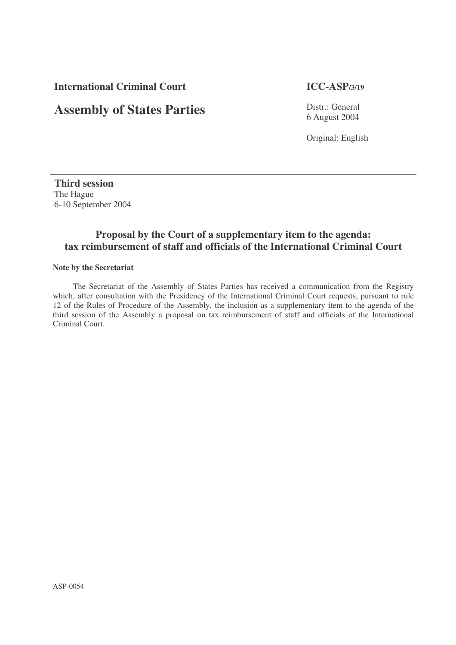**International Criminal Court ICC-ASP/3/19**

# **Assembly of States Parties**

Distr.: General 6 August 2004

Original: English

**Third session** The Hague 6-10 September 2004

# **Proposal by the Court of a supplementary item to the agenda: tax reimbursement of staff and officials of the International Criminal Court**

#### **Note by the Secretariat**

The Secretariat of the Assembly of States Parties has received a communication from the Registry which, after consultation with the Presidency of the International Criminal Court requests, pursuant to rule 12 of the Rules of Procedure of the Assembly, the inclusion as a supplementary item to the agenda of the third session of the Assembly a proposal on tax reimbursement of staff and officials of the International Criminal Court.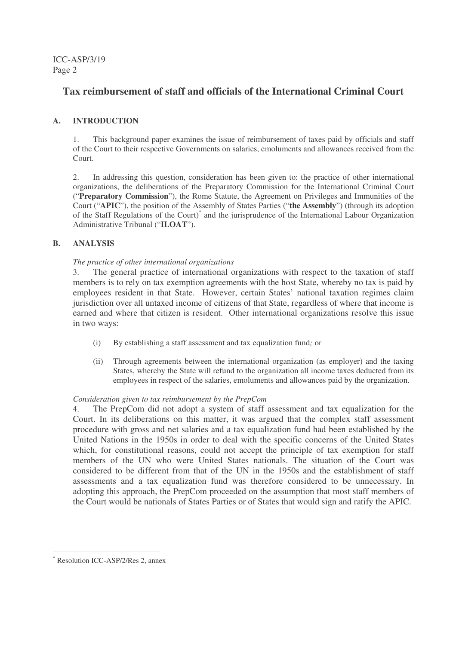ICC-ASP/3/19 Page 2

# **Tax reimbursement of staff and officials of the International Criminal Court**

# **A. INTRODUCTION**

1. This background paper examines the issue of reimbursement of taxes paid by officials and staff of the Court to their respective Governments on salaries, emoluments and allowances received from the Court.

2. In addressing this question, consideration has been given to: the practice of other international organizations, the deliberations of the Preparatory Commission for the International Criminal Court ("**Preparatory Commission**"), the Rome Statute, the Agreement on Privileges and Immunities of the Court ("**APIC**"), the position of the Assembly of States Parties ("**the Assembly**") (through its adoption of the Staff Regulations of the Court) \* and the jurisprudence of the International Labour Organization Administrative Tribunal ("**ILOAT**").

## **B. ANALYSIS**

#### *The practice of other international organizations*

3. The general practice of international organizations with respect to the taxation of staff members is to rely on tax exemption agreements with the host State, whereby no tax is paid by employees resident in that State. However, certain States' national taxation regimes claim jurisdiction over all untaxed income of citizens of that State, regardless of where that income is earned and where that citizen is resident. Other international organizations resolve this issue in two ways:

- (i) By establishing a staff assessment and tax equalization fund*;* or
- (ii) Through agreements between the international organization (as employer) and the taxing States, whereby the State will refund to the organization all income taxes deducted from its employees in respect of the salaries, emoluments and allowances paid by the organization.

#### *Consideration given to tax reimbursement by the PrepCom*

4. The PrepCom did not adopt a system of staff assessment and tax equalization for the Court. In its deliberations on this matter, it was argued that the complex staff assessment procedure with gross and net salaries and a tax equalization fund had been established by the United Nations in the 1950s in order to deal with the specific concerns of the United States which, for constitutional reasons, could not accept the principle of tax exemption for staff members of the UN who were United States nationals. The situation of the Court was considered to be different from that of the UN in the 1950s and the establishment of staff assessments and a tax equalization fund was therefore considered to be unnecessary. In adopting this approach, the PrepCom proceeded on the assumption that most staff members of the Court would be nationals of States Parties or of States that would sign and ratify the APIC.

Resolution ICC-ASP/2/Res 2, annex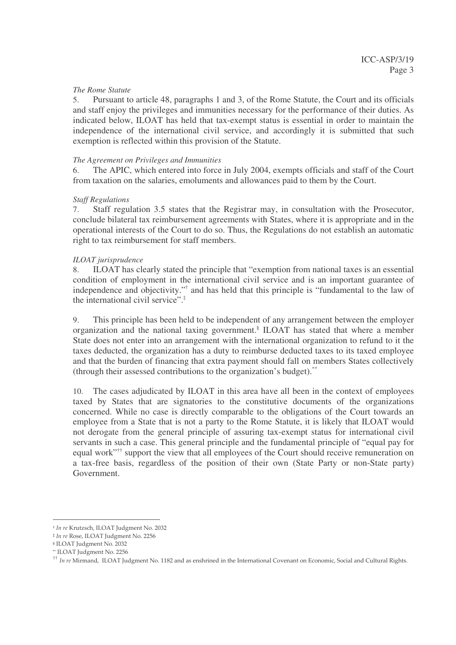#### *The Rome Statute*

5. Pursuant to article 48, paragraphs 1 and 3, of the Rome Statute, the Court and its officials and staff enjoy the privileges and immunities necessary for the performance of their duties. As indicated below, ILOAT has held that tax-exempt status is essential in order to maintain the independence of the international civil service, and accordingly it is submitted that such exemption is reflected within this provision of the Statute.

#### *The Agreement on Privileges and Immunities*

6. The APIC, which entered into force in July 2004, exempts officials and staff of the Court from taxation on the salaries, emoluments and allowances paid to them by the Court.

#### *Staff Regulations*

7. Staff regulation 3.5 states that the Registrar may, in consultation with the Prosecutor, conclude bilateral tax reimbursement agreements with States, where it is appropriate and in the operational interests of the Court to do so. Thus, the Regulations do not establish an automatic right to tax reimbursement for staff members.

#### *ILOAT jurisprudence*

8. ILOAT has clearly stated the principle that "exemption from national taxes is an essential condition of employment in the international civil service and is an important guarantee of independence and objectivity." † and has held that this principle is "fundamental to the law of the international civil service". ‡

9. This principle has been held to be independent of any arrangement between the employer organization and the national taxing government. § ILOAT has stated that where a member State does not enter into an arrangement with the international organization to refund to it the taxes deducted, the organization has a duty to reimburse deducted taxes to its taxed employee and that the burden of financing that extra payment should fall on members States collectively (through their assessed contributions to the organization's budget).<sup>\*\*</sup>

10. The cases adjudicated by ILOAT in this area have all been in the context of employees taxed by States that are signatories to the constitutive documents of the organizations concerned. While no case is directly comparable to the obligations of the Court towards an employee from a State that is not a party to the Rome Statute, it is likely that ILOAT would not derogate from the general principle of assuring tax-exempt status for international civil servants in such a case. This general principle and the fundamental principle of "equal pay for equal work"<sup>††</sup> support the view that all employees of the Court should receive remuneration on a tax-free basis, regardless of the position of their own (State Party or non-State party) Government.

<sup>&</sup>lt;sup>+</sup> In re Krutzsch, ILOAT Judgment No. 2032

<sup>#</sup> In re Rose, ILOAT Judgment No. 2256

<sup>§</sup> ILOAT Judgment No. 2032

<sup>\*\*</sup> ILOAT Judgment No. 2256

 $^{\dagger\dagger}$  In re Mirmand, ILOAT Judgment No. 1182 and as enshrined in the International Covenant on Economic, Social and Cultural Rights.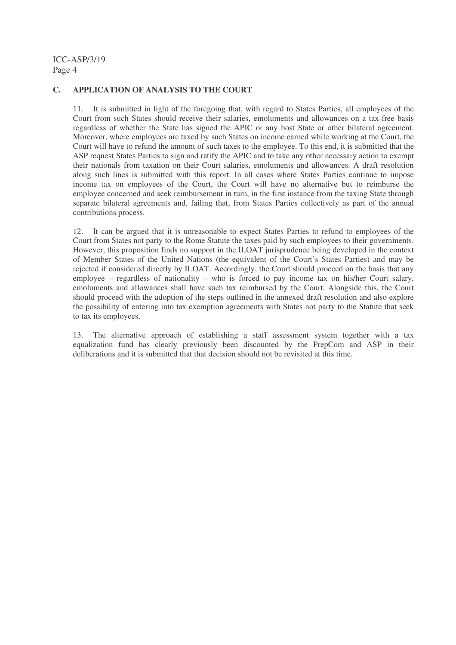## **C. APPLICATION OF ANALYSIS TO THE COURT**

11. It is submitted in light of the foregoing that, with regard to States Parties, all employees of the Court from such States should receive their salaries, emoluments and allowances on a tax-free basis regardless of whether the State has signed the APIC or any host State or other bilateral agreement. Moreover, where employees are taxed by such States on income earned while working at the Court, the Court will have to refund the amount of such taxes to the employee. To this end, it is submitted that the ASP request States Parties to sign and ratify the APIC and to take any other necessary action to exempt their nationals from taxation on their Court salaries, emoluments and allowances. A draft resolution along such lines is submitted with this report. In all cases where States Parties continue to impose income tax on employees of the Court, the Court will have no alternative but to reimburse the employee concerned and seek reimbursement in turn, in the first instance from the taxing State through separate bilateral agreements and, failing that, from States Parties collectively as part of the annual contributions process.

12. It can be argued that it is unreasonable to expect States Parties to refund to employees of the Court from States not party to the Rome Statute the taxes paid by such employees to their governments. However, this proposition finds no support in the ILOAT jurisprudence being developed in the context of Member States of the United Nations (the equivalent of the Court's States Parties) and may be rejected if considered directly by ILOAT. Accordingly, the Court should proceed on the basis that any employee – regardless of nationality – who is forced to pay income tax on his/her Court salary, emoluments and allowances shall have such tax reimbursed by the Court. Alongside this, the Court should proceed with the adoption of the steps outlined in the annexed draft resolution and also explore the possibility of entering into tax exemption agreements with States not party to the Statute that seek to tax its employees.

13. The alternative approach of establishing a staff assessment system together with a tax equalization fund has clearly previously been discounted by the PrepCom and ASP in their deliberations and it is submitted that that decision should not be revisited at this time.